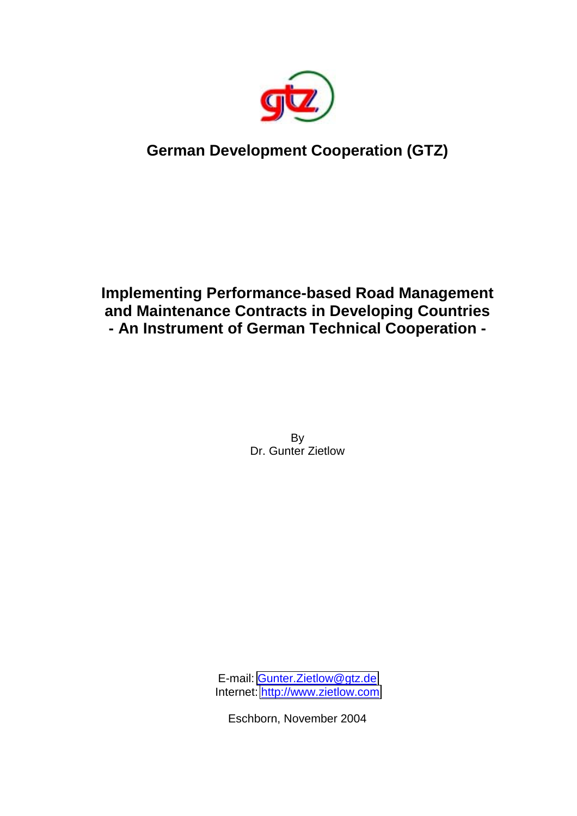

# **German Development Cooperation (GTZ)**

## **Implementing Performance-based Road Management and Maintenance Contracts in Developing Countries - An Instrument of German Technical Cooperation -**

By Dr. Gunter Zietlow

E-mail: [Gunter.Zietlow@gtz.de](mailto:Gunter.Zietlow@gtz.de) Internet: [http://www.zietlow.com](http://www.zietlow.com/)

Eschborn, November 2004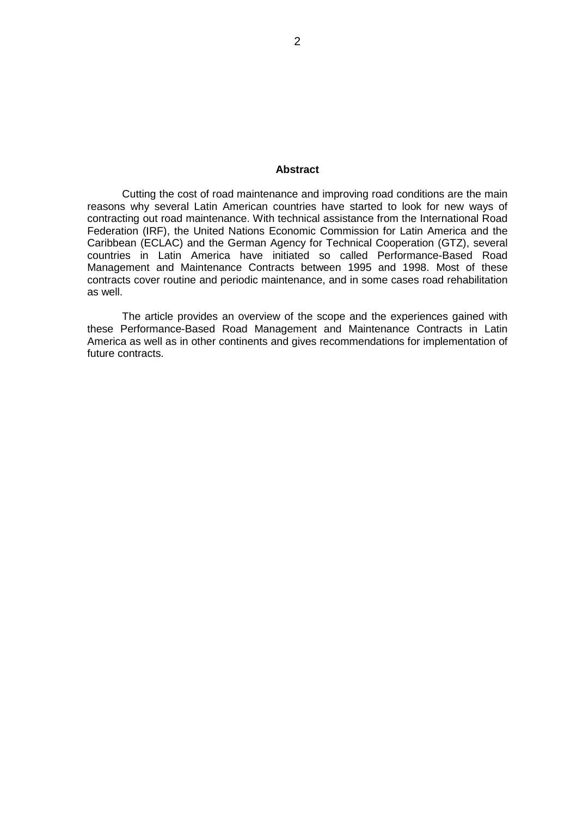#### **Abstract**

Cutting the cost of road maintenance and improving road conditions are the main reasons why several Latin American countries have started to look for new ways of contracting out road maintenance. With technical assistance from the International Road Federation (IRF), the United Nations Economic Commission for Latin America and the Caribbean (ECLAC) and the German Agency for Technical Cooperation (GTZ), several countries in Latin America have initiated so called Performance-Based Road Management and Maintenance Contracts between 1995 and 1998. Most of these contracts cover routine and periodic maintenance, and in some cases road rehabilitation as well.

The article provides an overview of the scope and the experiences gained with these Performance-Based Road Management and Maintenance Contracts in Latin America as well as in other continents and gives recommendations for implementation of future contracts.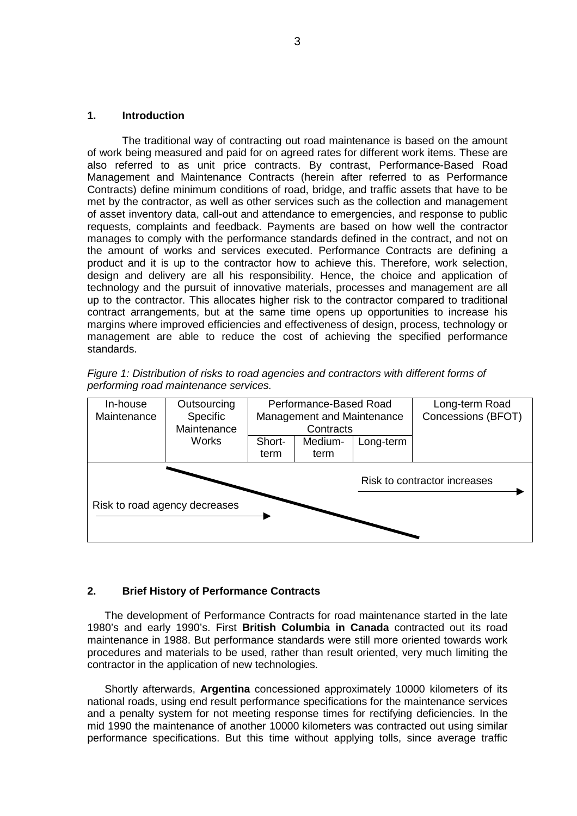## **1. Introduction**

The traditional way of contracting out road maintenance is based on the amount of work being measured and paid for on agreed rates for different work items. These are also referred to as unit price contracts. By contrast, Performance-Based Road Management and Maintenance Contracts (herein after referred to as Performance Contracts) define minimum conditions of road, bridge, and traffic assets that have to be met by the contractor, as well as other services such as the collection and management of asset inventory data, call-out and attendance to emergencies, and response to public requests, complaints and feedback. Payments are based on how well the contractor manages to comply with the performance standards defined in the contract, and not on the amount of works and services executed. Performance Contracts are defining a product and it is up to the contractor how to achieve this. Therefore, work selection, design and delivery are all his responsibility. Hence, the choice and application of technology and the pursuit of innovative materials, processes and management are all up to the contractor. This allocates higher risk to the contractor compared to traditional contract arrangements, but at the same time opens up opportunities to increase his margins where improved efficiencies and effectiveness of design, process, technology or management are able to reduce the cost of achieving the specified performance standards.

|  |                                       |  | Figure 1: Distribution of risks to road agencies and contractors with different forms of |  |  |
|--|---------------------------------------|--|------------------------------------------------------------------------------------------|--|--|
|  | performing road maintenance services. |  |                                                                                          |  |  |



## **2. Brief History of Performance Contracts**

The development of Performance Contracts for road maintenance started in the late 1980's and early 1990's. First **British Columbia in Canada** contracted out its road maintenance in 1988. But performance standards were still more oriented towards work procedures and materials to be used, rather than result oriented, very much limiting the contractor in the application of new technologies.

Shortly afterwards, **Argentina** concessioned approximately 10000 kilometers of its national roads, using end result performance specifications for the maintenance services and a penalty system for not meeting response times for rectifying deficiencies. In the mid 1990 the maintenance of another 10000 kilometers was contracted out using similar performance specifications. But this time without applying tolls, since average traffic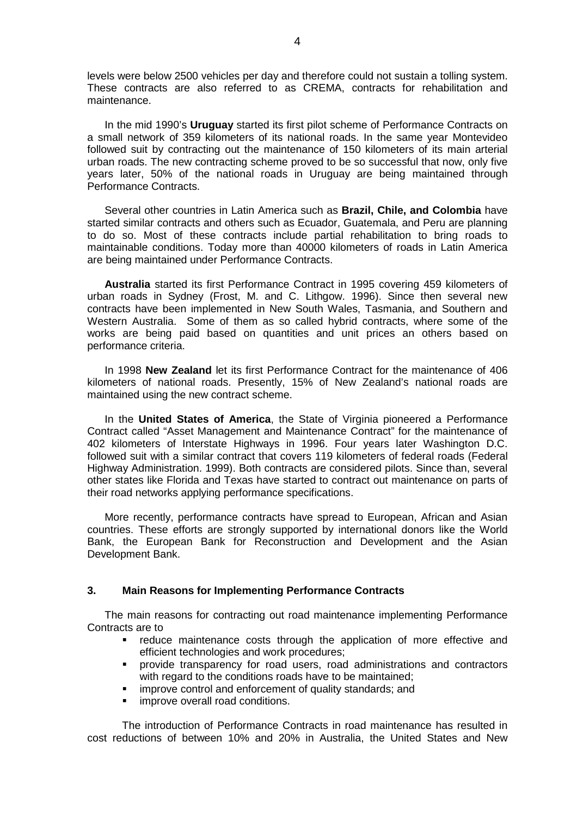levels were below 2500 vehicles per day and therefore could not sustain a tolling system. These contracts are also referred to as CREMA, contracts for rehabilitation and maintenance.

In the mid 1990's **Uruguay** started its first pilot scheme of Performance Contracts on a small network of 359 kilometers of its national roads. In the same year Montevideo followed suit by contracting out the maintenance of 150 kilometers of its main arterial urban roads. The new contracting scheme proved to be so successful that now, only five years later, 50% of the national roads in Uruguay are being maintained through Performance Contracts.

Several other countries in Latin America such as **Brazil, Chile, and Colombia** have started similar contracts and others such as Ecuador, Guatemala, and Peru are planning to do so. Most of these contracts include partial rehabilitation to bring roads to maintainable conditions. Today more than 40000 kilometers of roads in Latin America are being maintained under Performance Contracts.

**Australia** started its first Performance Contract in 1995 covering 459 kilometers of urban roads in Sydney (Frost, M. and C. Lithgow. 1996). Since then several new contracts have been implemented in New South Wales, Tasmania, and Southern and Western Australia. Some of them as so called hybrid contracts, where some of the works are being paid based on quantities and unit prices an others based on performance criteria.

In 1998 **New Zealand** let its first Performance Contract for the maintenance of 406 kilometers of national roads. Presently, 15% of New Zealand's national roads are maintained using the new contract scheme.

In the **United States of America**, the State of Virginia pioneered a Performance Contract called "Asset Management and Maintenance Contract" for the maintenance of 402 kilometers of Interstate Highways in 1996. Four years later Washington D.C. followed suit with a similar contract that covers 119 kilometers of federal roads (Federal Highway Administration. 1999). Both contracts are considered pilots. Since than, several other states like Florida and Texas have started to contract out maintenance on parts of their road networks applying performance specifications.

More recently, performance contracts have spread to European, African and Asian countries. These efforts are strongly supported by international donors like the World Bank, the European Bank for Reconstruction and Development and the Asian Development Bank.

## **3. Main Reasons for Implementing Performance Contracts**

The main reasons for contracting out road maintenance implementing Performance Contracts are to

- reduce maintenance costs through the application of more effective and efficient technologies and work procedures;
- provide transparency for road users, road administrations and contractors with regard to the conditions roads have to be maintained:
- improve control and enforcement of quality standards; and
- **If** improve overall road conditions.

The introduction of Performance Contracts in road maintenance has resulted in cost reductions of between 10% and 20% in Australia, the United States and New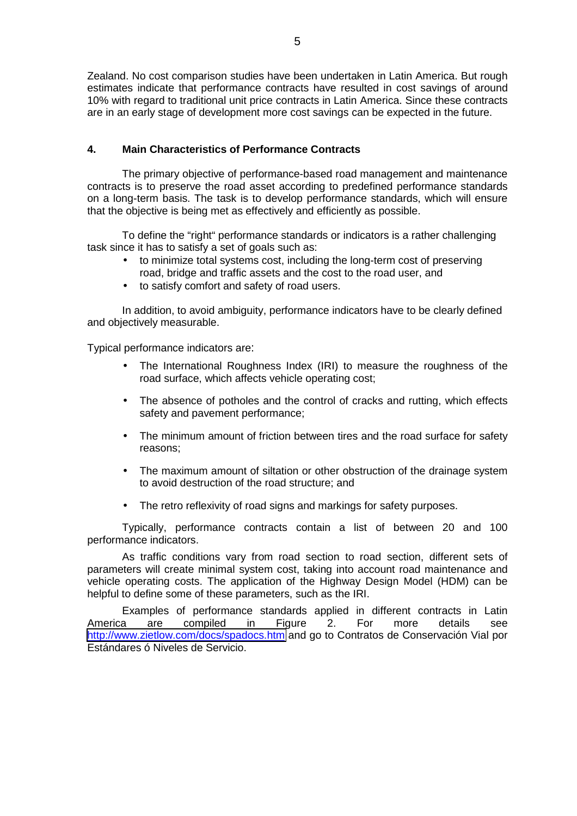Zealand. No cost comparison studies have been undertaken in Latin America. But rough estimates indicate that performance contracts have resulted in cost savings of around 10% with regard to traditional unit price contracts in Latin America. Since these contracts are in an early stage of development more cost savings can be expected in the future.

## **4. Main Characteristics of Performance Contracts**

The primary objective of performance-based road management and maintenance contracts is to preserve the road asset according to predefined performance standards on a long-term basis. The task is to develop performance standards, which will ensure that the objective is being met as effectively and efficiently as possible.

To define the "right" performance standards or indicators is a rather challenging task since it has to satisfy a set of goals such as:

- to minimize total systems cost, including the long-term cost of preserving road, bridge and traffic assets and the cost to the road user, and
- to satisfy comfort and safety of road users.

In addition, to avoid ambiguity, performance indicators have to be clearly defined and objectively measurable.

Typical performance indicators are:

- The International Roughness Index (IRI) to measure the roughness of the road surface, which affects vehicle operating cost;
- The absence of potholes and the control of cracks and rutting, which effects safety and pavement performance;
- The minimum amount of friction between tires and the road surface for safety reasons;
- The maximum amount of siltation or other obstruction of the drainage system to avoid destruction of the road structure; and
- The retro reflexivity of road signs and markings for safety purposes.

Typically, performance contracts contain a list of between 20 and 100 performance indicators.

As traffic conditions vary from road section to road section, different sets of parameters will create minimal system cost, taking into account road maintenance and vehicle operating costs. The application of the Highway Design Model (HDM) can be helpful to define some of these parameters, such as the IRI.

Examples of performance standards applied in different contracts in Latin America are compiled in Figure 2. For more details see <http://www.zietlow.com/docs/spadocs.htm>and go to Contratos de Conservación Vial por Estándares ó Niveles de Servicio.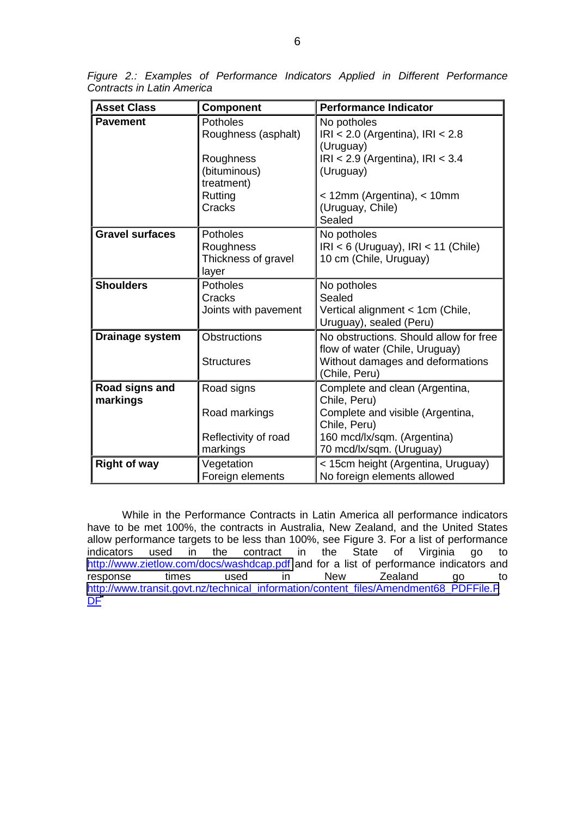| <b>Asset Class</b>         | <b>Component</b>                                                                  | <b>Performance Indicator</b>                                                                                                                                  |
|----------------------------|-----------------------------------------------------------------------------------|---------------------------------------------------------------------------------------------------------------------------------------------------------------|
| <b>Pavement</b>            | <b>Potholes</b><br>Roughness (asphalt)<br>Roughness<br>(bituminous)<br>treatment) | No potholes<br>$IRI < 2.0$ (Argentina), $IRI < 2.8$<br>(Uruguay)<br>$IRI < 2.9$ (Argentina), $IRI < 3.4$<br>(Uruguay)                                         |
|                            | Rutting<br>Cracks                                                                 | < 12mm (Argentina), < 10mm<br>(Uruguay, Chile)<br>Sealed                                                                                                      |
| <b>Gravel surfaces</b>     | <b>Potholes</b><br>Roughness<br>Thickness of gravel<br>layer                      | No potholes<br>$IRI < 6$ (Uruguay), $IRI < 11$ (Chile)<br>10 cm (Chile, Uruguay)                                                                              |
| <b>Shoulders</b>           | <b>Potholes</b><br>Cracks<br>Joints with pavement                                 | No potholes<br>Sealed<br>Vertical alignment < 1cm (Chile,<br>Uruguay), sealed (Peru)                                                                          |
| Drainage system            | <b>Obstructions</b><br><b>Structures</b>                                          | No obstructions. Should allow for free<br>flow of water (Chile, Uruguay)<br>Without damages and deformations<br>(Chile, Peru)                                 |
| Road signs and<br>markings | Road signs<br>Road markings<br>Reflectivity of road<br>markings                   | Complete and clean (Argentina,<br>Chile, Peru)<br>Complete and visible (Argentina,<br>Chile, Peru)<br>160 mcd/lx/sqm. (Argentina)<br>70 mcd/lx/sqm. (Uruguay) |
| <b>Right of way</b>        | Vegetation<br>Foreign elements                                                    | < 15cm height (Argentina, Uruguay)<br>No foreign elements allowed                                                                                             |

*Figure 2.: Examples of Performance Indicators Applied in Different Performance Contracts in Latin America* 

While in the Performance Contracts in Latin America all performance indicators have to be met 100%, the contracts in Australia, New Zealand, and the United States allow performance targets to be less than 100%, see Figure 3. For a list of performance indicators used in the contract in the State of Virginia go to <http://www.zietlow.com/docs/washdcap.pdf>and for a list of performance indicators and response times used in New Zealand go to [http://www.transit.govt.nz/technical\\_information/content\\_files/Amendment68\\_PDFFile.P](http://www.transit.govt.nz/technical_information/content_files/Amendment68_PDFFile.PDF) D<sub>[F](http://www.transit.govt.nz/technical_information/content_files/Amendment68_PDFFile.PDF)</sub>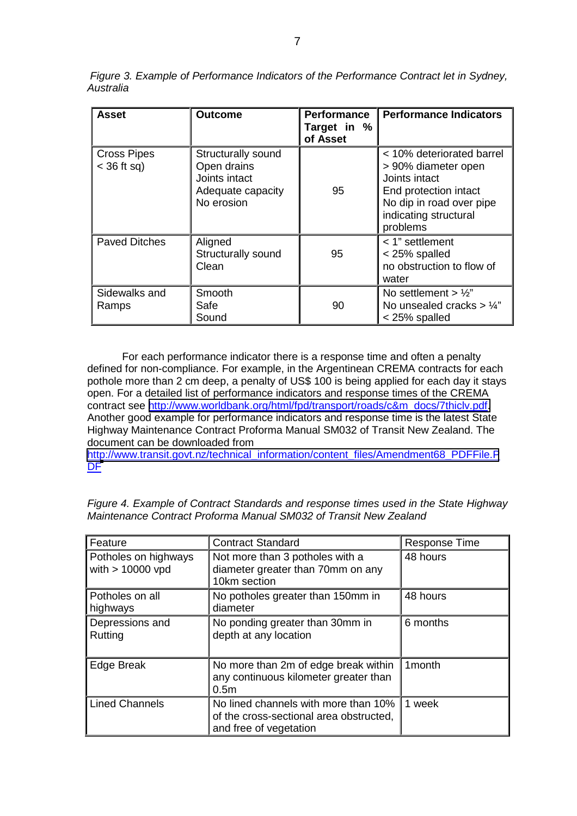| <b>Asset</b>                        | <b>Outcome</b>                                                                        | <b>Performance</b><br>Target in %<br>of Asset | <b>Performance Indicators</b>                                                                                                                               |
|-------------------------------------|---------------------------------------------------------------------------------------|-----------------------------------------------|-------------------------------------------------------------------------------------------------------------------------------------------------------------|
| <b>Cross Pipes</b><br>$<$ 36 ft sq) | Structurally sound<br>Open drains<br>Joints intact<br>Adequate capacity<br>No erosion | 95                                            | < 10% deteriorated barrel<br>> 90% diameter open<br>Joints intact<br>End protection intact<br>No dip in road over pipe<br>indicating structural<br>problems |
| <b>Paved Ditches</b>                | Aligned<br>Structurally sound<br>Clean                                                | 95                                            | < 1" settlement<br>< 25% spalled<br>no obstruction to flow of<br>water                                                                                      |
| Sidewalks and<br>Ramps              | Smooth<br>Safe<br>Sound                                                               | 90                                            | No settlement $> 1/2$ "<br>No unsealed cracks $> 1/4$ "<br>$<$ 25% spalled                                                                                  |

 *Figure 3. Example of Performance Indicators of the Performance Contract let in Sydney, Australia* 

For each performance indicator there is a response time and often a penalty defined for non-compliance. For example, in the Argentinean CREMA contracts for each pothole more than 2 cm deep, a penalty of US\$ 100 is being applied for each day it stays open. For a detailed list of performance indicators and response times of the CREMA contract see [http://www.worldbank.org/html/fpd/transport/roads/c&m\\_docs/7thiclv.pdf.](http://www.worldbank.org/html/fpd/transport/roads/c&m_docs/7thiclv.pdf) Another good example for performance indicators and response time is the latest State Highway Maintenance Contract Proforma Manual SM032 of Transit New Zealand. The document can be downloaded from

[http://www.transit.govt.nz/technical\\_information/content\\_files/Amendment68\\_PDFFile.P](http://www.transit.govt.nz/technical_information/content_files/Amendment68_PDFFile.PDF) D[F](http://www.transit.govt.nz/technical_information/content_files/Amendment68_PDFFile.PDF)

| Feature                                    | <b>Contract Standard</b>                                                                                  | <b>Response Time</b> |
|--------------------------------------------|-----------------------------------------------------------------------------------------------------------|----------------------|
| Potholes on highways<br>with $> 10000$ vpd | Not more than 3 potholes with a<br>diameter greater than 70mm on any<br>10km section                      | 48 hours             |
| Potholes on all<br>highways                | No potholes greater than 150mm in<br>diameter                                                             | 48 hours             |
| Depressions and<br>Rutting                 | No ponding greater than 30mm in<br>depth at any location                                                  | 6 months             |
| Edge Break                                 | No more than 2m of edge break within<br>any continuous kilometer greater than<br>0.5 <sub>m</sub>         | 1 <sub>month</sub>   |
| <b>Lined Channels</b>                      | No lined channels with more than 10%<br>of the cross-sectional area obstructed,<br>and free of vegetation | 1 week               |

*Figure 4. Example of Contract Standards and response times used in the State Highway Maintenance Contract Proforma Manual SM032 of Transit New Zealand*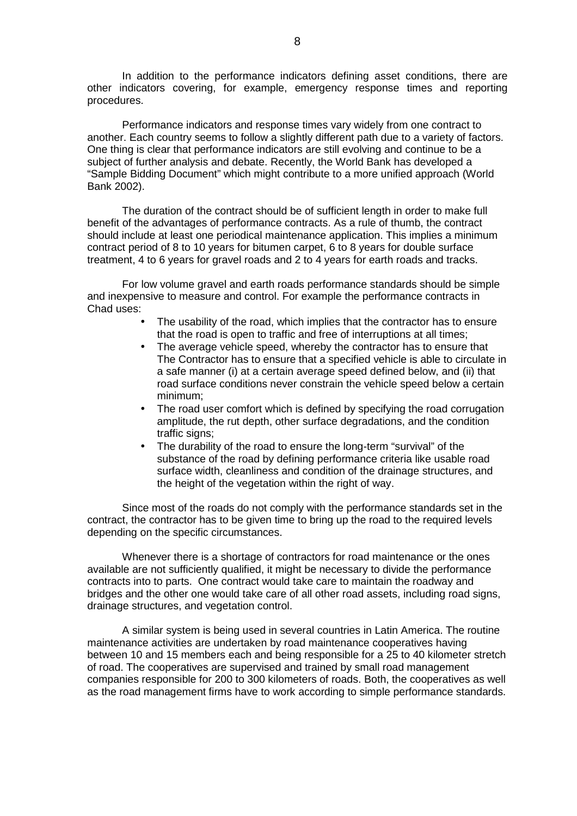In addition to the performance indicators defining asset conditions, there are other indicators covering, for example, emergency response times and reporting procedures.

Performance indicators and response times vary widely from one contract to another. Each country seems to follow a slightly different path due to a variety of factors. One thing is clear that performance indicators are still evolving and continue to be a subject of further analysis and debate. Recently, the World Bank has developed a "Sample Bidding Document" which might contribute to a more unified approach (World Bank 2002).

 The duration of the contract should be of sufficient length in order to make full benefit of the advantages of performance contracts. As a rule of thumb, the contract should include at least one periodical maintenance application. This implies a minimum contract period of 8 to 10 years for bitumen carpet, 6 to 8 years for double surface treatment, 4 to 6 years for gravel roads and 2 to 4 years for earth roads and tracks.

For low volume gravel and earth roads performance standards should be simple and inexpensive to measure and control. For example the performance contracts in Chad uses:

- The usability of the road, which implies that the contractor has to ensure that the road is open to traffic and free of interruptions at all times;
- The average vehicle speed, whereby the contractor has to ensure that The Contractor has to ensure that a specified vehicle is able to circulate in a safe manner (i) at a certain average speed defined below, and (ii) that road surface conditions never constrain the vehicle speed below a certain minimum;
- The road user comfort which is defined by specifying the road corrugation amplitude, the rut depth, other surface degradations, and the condition traffic signs;
- The durability of the road to ensure the long-term "survival" of the substance of the road by defining performance criteria like usable road surface width, cleanliness and condition of the drainage structures, and the height of the vegetation within the right of way.

Since most of the roads do not comply with the performance standards set in the contract, the contractor has to be given time to bring up the road to the required levels depending on the specific circumstances.

Whenever there is a shortage of contractors for road maintenance or the ones available are not sufficiently qualified, it might be necessary to divide the performance contracts into to parts. One contract would take care to maintain the roadway and bridges and the other one would take care of all other road assets, including road signs, drainage structures, and vegetation control.

A similar system is being used in several countries in Latin America. The routine maintenance activities are undertaken by road maintenance cooperatives having between 10 and 15 members each and being responsible for a 25 to 40 kilometer stretch of road. The cooperatives are supervised and trained by small road management companies responsible for 200 to 300 kilometers of roads. Both, the cooperatives as well as the road management firms have to work according to simple performance standards.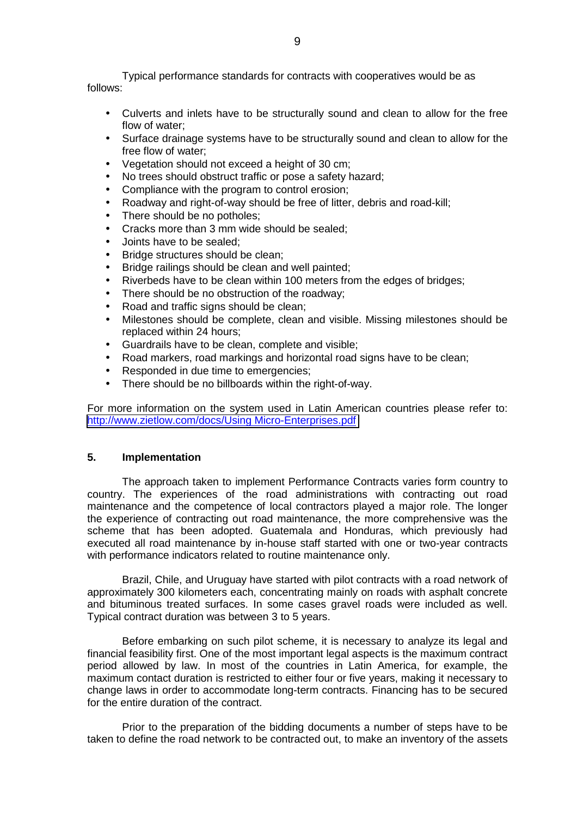Typical performance standards for contracts with cooperatives would be as follows:

- Culverts and inlets have to be structurally sound and clean to allow for the free flow of water;
- Surface drainage systems have to be structurally sound and clean to allow for the free flow of water;
- Vegetation should not exceed a height of 30 cm;
- No trees should obstruct traffic or pose a safety hazard;
- Compliance with the program to control erosion;
- Roadway and right-of-way should be free of litter, debris and road-kill;
- There should be no potholes;
- Cracks more than 3 mm wide should be sealed;
- Joints have to be sealed;
- Bridge structures should be clean;
- Bridge railings should be clean and well painted;
- Riverbeds have to be clean within 100 meters from the edges of bridges;
- There should be no obstruction of the roadway:
- Road and traffic signs should be clean;
- Milestones should be complete, clean and visible. Missing milestones should be replaced within 24 hours;
- Guardrails have to be clean, complete and visible;
- Road markers, road markings and horizontal road signs have to be clean;
- Responded in due time to emergencies;
- There should be no billboards within the right-of-way.

For more information on the system used in Latin American countries please refer to: <http://www.zietlow.com/docs/Using Micro-Enterprises.pdf>

## **5. Implementation**

The approach taken to implement Performance Contracts varies form country to country. The experiences of the road administrations with contracting out road maintenance and the competence of local contractors played a major role. The longer the experience of contracting out road maintenance, the more comprehensive was the scheme that has been adopted. Guatemala and Honduras, which previously had executed all road maintenance by in-house staff started with one or two-year contracts with performance indicators related to routine maintenance only.

Brazil, Chile, and Uruguay have started with pilot contracts with a road network of approximately 300 kilometers each, concentrating mainly on roads with asphalt concrete and bituminous treated surfaces. In some cases gravel roads were included as well. Typical contract duration was between 3 to 5 years.

Before embarking on such pilot scheme, it is necessary to analyze its legal and financial feasibility first. One of the most important legal aspects is the maximum contract period allowed by law. In most of the countries in Latin America, for example, the maximum contact duration is restricted to either four or five years, making it necessary to change laws in order to accommodate long-term contracts. Financing has to be secured for the entire duration of the contract.

Prior to the preparation of the bidding documents a number of steps have to be taken to define the road network to be contracted out, to make an inventory of the assets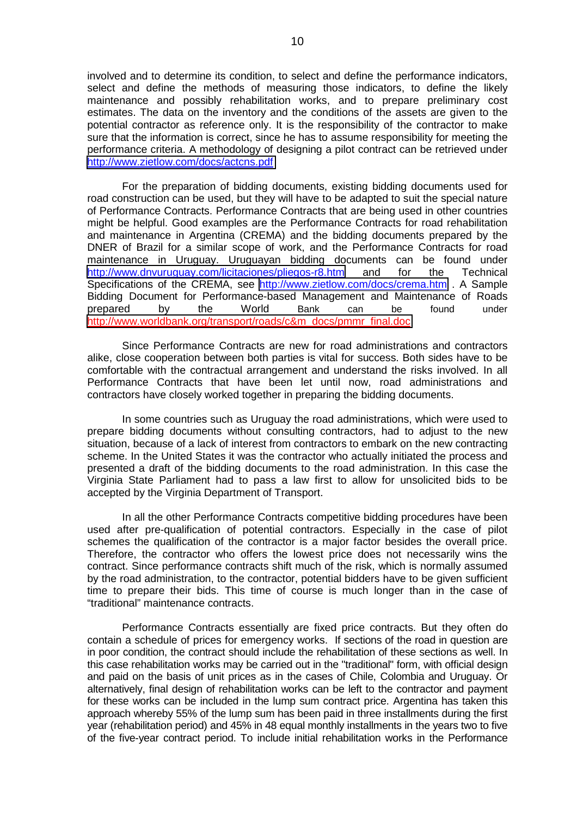involved and to determine its condition, to select and define the performance indicators, select and define the methods of measuring those indicators, to define the likely maintenance and possibly rehabilitation works, and to prepare preliminary cost estimates. The data on the inventory and the conditions of the assets are given to the potential contractor as reference only. It is the responsibility of the contractor to make sure that the information is correct, since he has to assume responsibility for meeting the performance criteria. A methodology of designing a pilot contract can be retrieved under <http://www.zietlow.com/docs/actcns.pdf>

For the preparation of bidding documents, existing bidding documents used for road construction can be used, but they will have to be adapted to suit the special nature of Performance Contracts. Performance Contracts that are being used in other countries might be helpful. Good examples are the Performance Contracts for road rehabilitation and maintenance in Argentina (CREMA) and the bidding documents prepared by the DNER of Brazil for a similar scope of work, and the Performance Contracts for road maintenance in Uruguay. Uruguayan bidding documents can be found under <http://www.dnvuruguay.com/licitaciones/pliegos-r8.htm>and for the Technical Specifications of the CREMA, see <http://www.zietlow.com/docs/crema.htm>. A Sample Bidding Document for Performance-based Management and Maintenance of Roads prepared by the World Bank can be found under [http://www.worldbank.org/transport/roads/c&m\\_docs/pmmr\\_final.doc](http://www.worldbank.org/transport/roads/c&m_docs/pmmr_final.doc)

Since Performance Contracts are new for road administrations and contractors alike, close cooperation between both parties is vital for success. Both sides have to be comfortable with the contractual arrangement and understand the risks involved. In all Performance Contracts that have been let until now, road administrations and contractors have closely worked together in preparing the bidding documents.

In some countries such as Uruguay the road administrations, which were used to prepare bidding documents without consulting contractors, had to adjust to the new situation, because of a lack of interest from contractors to embark on the new contracting scheme. In the United States it was the contractor who actually initiated the process and presented a draft of the bidding documents to the road administration. In this case the Virginia State Parliament had to pass a law first to allow for unsolicited bids to be accepted by the Virginia Department of Transport.

In all the other Performance Contracts competitive bidding procedures have been used after pre-qualification of potential contractors. Especially in the case of pilot schemes the qualification of the contractor is a major factor besides the overall price. Therefore, the contractor who offers the lowest price does not necessarily wins the contract. Since performance contracts shift much of the risk, which is normally assumed by the road administration, to the contractor, potential bidders have to be given sufficient time to prepare their bids. This time of course is much longer than in the case of "traditional" maintenance contracts.

 Performance Contracts essentially are fixed price contracts. But they often do contain a schedule of prices for emergency works. If sections of the road in question are in poor condition, the contract should include the rehabilitation of these sections as well. In this case rehabilitation works may be carried out in the "traditional" form, with official design and paid on the basis of unit prices as in the cases of Chile, Colombia and Uruguay. Or alternatively, final design of rehabilitation works can be left to the contractor and payment for these works can be included in the lump sum contract price. Argentina has taken this approach whereby 55% of the lump sum has been paid in three installments during the first year (rehabilitation period) and 45% in 48 equal monthly installments in the years two to five of the five-year contract period. To include initial rehabilitation works in the Performance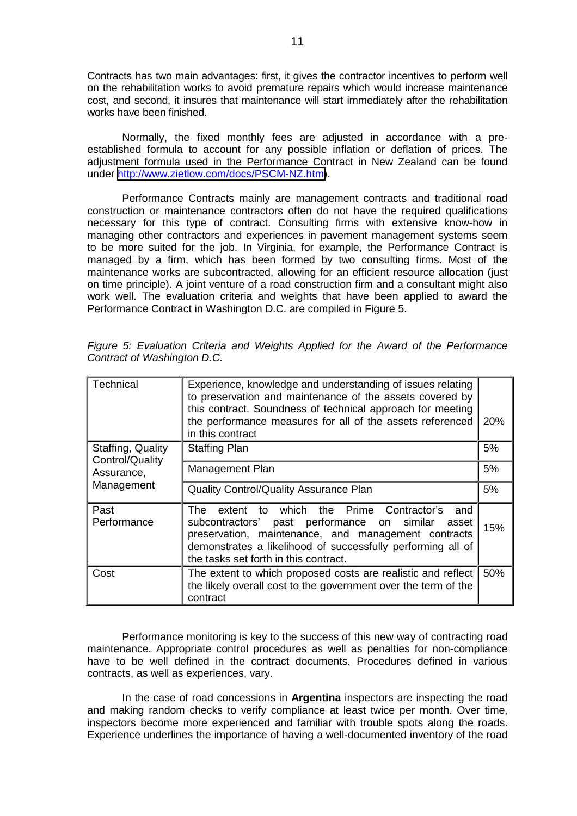Contracts has two main advantages: first, it gives the contractor incentives to perform well on the rehabilitation works to avoid premature repairs which would increase maintenance cost, and second, it insures that maintenance will start immediately after the rehabilitation works have been finished.

Normally, the fixed monthly fees are adjusted in accordance with a preestablished formula to account for any possible inflation or deflation of prices. The adjustment formula used in the Performance Contract in New Zealand can be found under [http://www.zietlow.com/docs/PSCM-NZ.htm\)](http://www.zietlow.com/docs/PSCM-NZ.htm).

Performance Contracts mainly are management contracts and traditional road construction or maintenance contractors often do not have the required qualifications necessary for this type of contract. Consulting firms with extensive know-how in managing other contractors and experiences in pavement management systems seem to be more suited for the job. In Virginia, for example, the Performance Contract is managed by a firm, which has been formed by two consulting firms. Most of the maintenance works are subcontracted, allowing for an efficient resource allocation (just on time principle). A joint venture of a road construction firm and a consultant might also work well. The evaluation criteria and weights that have been applied to award the Performance Contract in Washington D.C. are compiled in Figure 5.

| Technical                            | Experience, knowledge and understanding of issues relating<br>to preservation and maintenance of the assets covered by<br>this contract. Soundness of technical approach for meeting<br>the performance measures for all of the assets referenced<br>in this contract    | 20% |  |
|--------------------------------------|--------------------------------------------------------------------------------------------------------------------------------------------------------------------------------------------------------------------------------------------------------------------------|-----|--|
| Staffing, Quality<br>Control/Quality | <b>Staffing Plan</b>                                                                                                                                                                                                                                                     | 5%  |  |
| Assurance,                           | Management Plan                                                                                                                                                                                                                                                          |     |  |
| Management                           | <b>Quality Control/Quality Assurance Plan</b>                                                                                                                                                                                                                            |     |  |
| Past<br>Performance                  | The extent to which the Prime Contractor's<br>and<br>subcontractors' past performance on similar<br>asset<br>preservation, maintenance, and management contracts<br>demonstrates a likelihood of successfully performing all of<br>the tasks set forth in this contract. | 15% |  |
| Cost                                 | The extent to which proposed costs are realistic and reflect<br>the likely overall cost to the government over the term of the<br>contract                                                                                                                               | 50% |  |

*Figure 5: Evaluation Criteria and Weights Applied for the Award of the Performance Contract of Washington D.C.* 

Performance monitoring is key to the success of this new way of contracting road maintenance. Appropriate control procedures as well as penalties for non-compliance have to be well defined in the contract documents. Procedures defined in various contracts, as well as experiences, vary.

In the case of road concessions in **Argentina** inspectors are inspecting the road and making random checks to verify compliance at least twice per month. Over time, inspectors become more experienced and familiar with trouble spots along the roads. Experience underlines the importance of having a well-documented inventory of the road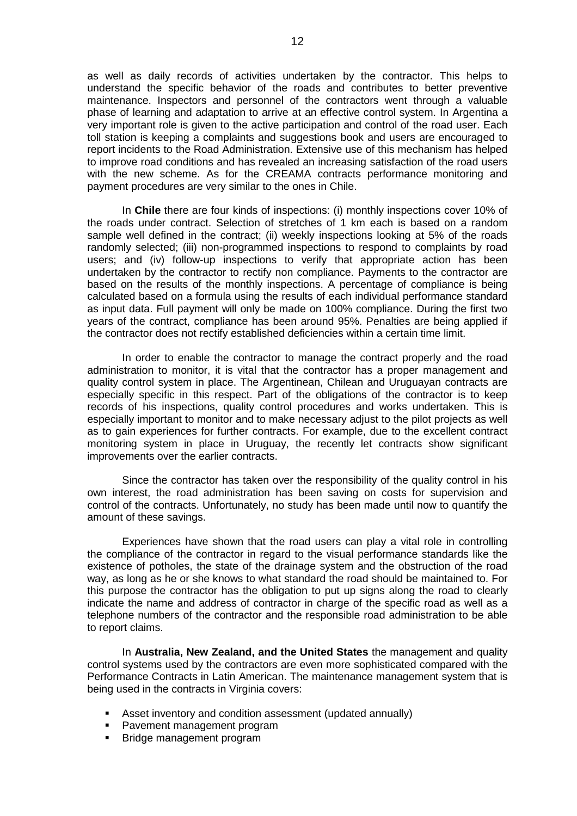as well as daily records of activities undertaken by the contractor. This helps to understand the specific behavior of the roads and contributes to better preventive maintenance. Inspectors and personnel of the contractors went through a valuable phase of learning and adaptation to arrive at an effective control system. In Argentina a very important role is given to the active participation and control of the road user. Each toll station is keeping a complaints and suggestions book and users are encouraged to report incidents to the Road Administration. Extensive use of this mechanism has helped to improve road conditions and has revealed an increasing satisfaction of the road users with the new scheme. As for the CREAMA contracts performance monitoring and payment procedures are very similar to the ones in Chile.

In **Chile** there are four kinds of inspections: (i) monthly inspections cover 10% of the roads under contract. Selection of stretches of 1 km each is based on a random sample well defined in the contract; (ii) weekly inspections looking at 5% of the roads randomly selected; (iii) non-programmed inspections to respond to complaints by road users; and (iv) follow-up inspections to verify that appropriate action has been undertaken by the contractor to rectify non compliance. Payments to the contractor are based on the results of the monthly inspections. A percentage of compliance is being calculated based on a formula using the results of each individual performance standard as input data. Full payment will only be made on 100% compliance. During the first two years of the contract, compliance has been around 95%. Penalties are being applied if the contractor does not rectify established deficiencies within a certain time limit.

In order to enable the contractor to manage the contract properly and the road administration to monitor, it is vital that the contractor has a proper management and quality control system in place. The Argentinean, Chilean and Uruguayan contracts are especially specific in this respect. Part of the obligations of the contractor is to keep records of his inspections, quality control procedures and works undertaken. This is especially important to monitor and to make necessary adjust to the pilot projects as well as to gain experiences for further contracts. For example, due to the excellent contract monitoring system in place in Uruguay, the recently let contracts show significant improvements over the earlier contracts.

Since the contractor has taken over the responsibility of the quality control in his own interest, the road administration has been saving on costs for supervision and control of the contracts. Unfortunately, no study has been made until now to quantify the amount of these savings.

Experiences have shown that the road users can play a vital role in controlling the compliance of the contractor in regard to the visual performance standards like the existence of potholes, the state of the drainage system and the obstruction of the road way, as long as he or she knows to what standard the road should be maintained to. For this purpose the contractor has the obligation to put up signs along the road to clearly indicate the name and address of contractor in charge of the specific road as well as a telephone numbers of the contractor and the responsible road administration to be able to report claims.

 In **Australia, New Zealand, and the United States** the management and quality control systems used by the contractors are even more sophisticated compared with the Performance Contracts in Latin American. The maintenance management system that is being used in the contracts in Virginia covers:

- ! Asset inventory and condition assessment (updated annually)
- ! Pavement management program
- **EXEC** Bridge management program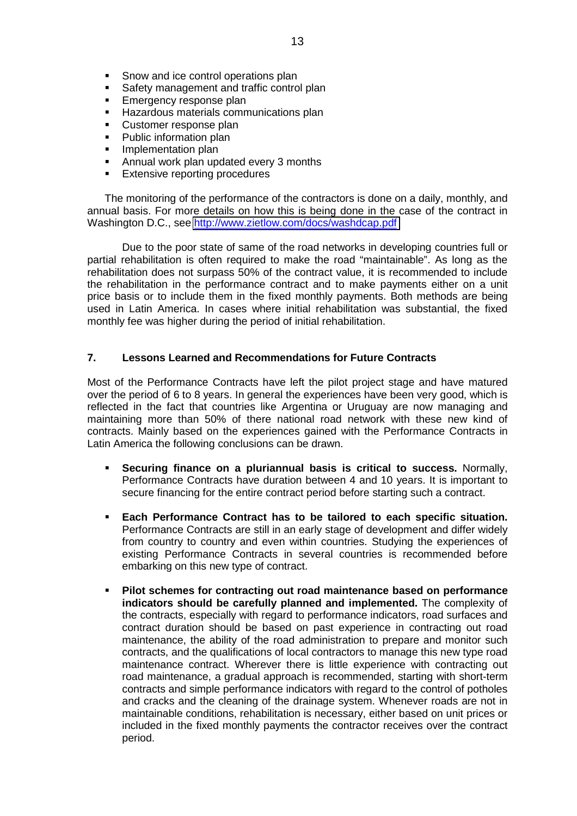- Snow and ice control operations plan
- Safety management and traffic control plan
- **Emergency response plan**
- ! Hazardous materials communications plan
- **E.** Customer response plan
- Public information plan
- **.** Implementation plan
- ! Annual work plan updated every 3 months
- **Extensive reporting procedures**

The monitoring of the performance of the contractors is done on a daily, monthly, and annual basis. For more details on how this is being done in the case of the contract in Washington D.C., see<http://www.zietlow.com/docs/washdcap.pdf>

 Due to the poor state of same of the road networks in developing countries full or partial rehabilitation is often required to make the road "maintainable". As long as the rehabilitation does not surpass 50% of the contract value, it is recommended to include the rehabilitation in the performance contract and to make payments either on a unit price basis or to include them in the fixed monthly payments. Both methods are being used in Latin America. In cases where initial rehabilitation was substantial, the fixed monthly fee was higher during the period of initial rehabilitation.

## **7. Lessons Learned and Recommendations for Future Contracts**

Most of the Performance Contracts have left the pilot project stage and have matured over the period of 6 to 8 years. In general the experiences have been very good, which is reflected in the fact that countries like Argentina or Uruguay are now managing and maintaining more than 50% of there national road network with these new kind of contracts. Mainly based on the experiences gained with the Performance Contracts in Latin America the following conclusions can be drawn.

- ! **Securing finance on a pluriannual basis is critical to success.** Normally, Performance Contracts have duration between 4 and 10 years. It is important to secure financing for the entire contract period before starting such a contract.
- ! **Each Performance Contract has to be tailored to each specific situation.** Performance Contracts are still in an early stage of development and differ widely from country to country and even within countries. Studying the experiences of existing Performance Contracts in several countries is recommended before embarking on this new type of contract.
- ! **Pilot schemes for contracting out road maintenance based on performance indicators should be carefully planned and implemented.** The complexity of the contracts, especially with regard to performance indicators, road surfaces and contract duration should be based on past experience in contracting out road maintenance, the ability of the road administration to prepare and monitor such contracts, and the qualifications of local contractors to manage this new type road maintenance contract. Wherever there is little experience with contracting out road maintenance, a gradual approach is recommended, starting with short-term contracts and simple performance indicators with regard to the control of potholes and cracks and the cleaning of the drainage system. Whenever roads are not in maintainable conditions, rehabilitation is necessary, either based on unit prices or included in the fixed monthly payments the contractor receives over the contract period.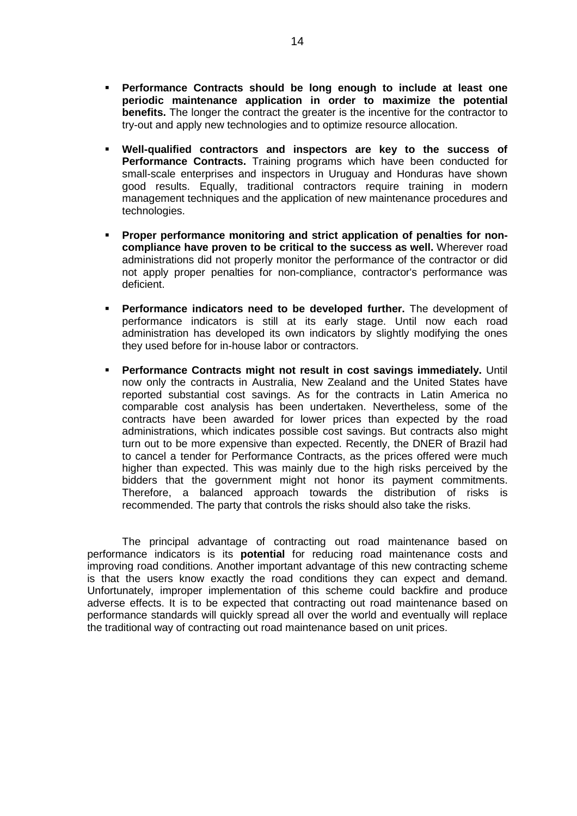- ! **Performance Contracts should be long enough to include at least one periodic maintenance application in order to maximize the potential benefits.** The longer the contract the greater is the incentive for the contractor to try-out and apply new technologies and to optimize resource allocation.
- ! **Well-qualified contractors and inspectors are key to the success of Performance Contracts.** Training programs which have been conducted for small-scale enterprises and inspectors in Uruguay and Honduras have shown good results. Equally, traditional contractors require training in modern management techniques and the application of new maintenance procedures and technologies.
- ! **Proper performance monitoring and strict application of penalties for noncompliance have proven to be critical to the success as well.** Wherever road administrations did not properly monitor the performance of the contractor or did not apply proper penalties for non-compliance, contractor's performance was deficient.
- ! **Performance indicators need to be developed further.** The development of performance indicators is still at its early stage. Until now each road administration has developed its own indicators by slightly modifying the ones they used before for in-house labor or contractors.
- ! **Performance Contracts might not result in cost savings immediately.** Until now only the contracts in Australia, New Zealand and the United States have reported substantial cost savings. As for the contracts in Latin America no comparable cost analysis has been undertaken. Nevertheless, some of the contracts have been awarded for lower prices than expected by the road administrations, which indicates possible cost savings. But contracts also might turn out to be more expensive than expected. Recently, the DNER of Brazil had to cancel a tender for Performance Contracts, as the prices offered were much higher than expected. This was mainly due to the high risks perceived by the bidders that the government might not honor its payment commitments. Therefore, a balanced approach towards the distribution of risks is recommended. The party that controls the risks should also take the risks.

The principal advantage of contracting out road maintenance based on performance indicators is its **potential** for reducing road maintenance costs and improving road conditions. Another important advantage of this new contracting scheme is that the users know exactly the road conditions they can expect and demand. Unfortunately, improper implementation of this scheme could backfire and produce adverse effects. It is to be expected that contracting out road maintenance based on performance standards will quickly spread all over the world and eventually will replace the traditional way of contracting out road maintenance based on unit prices.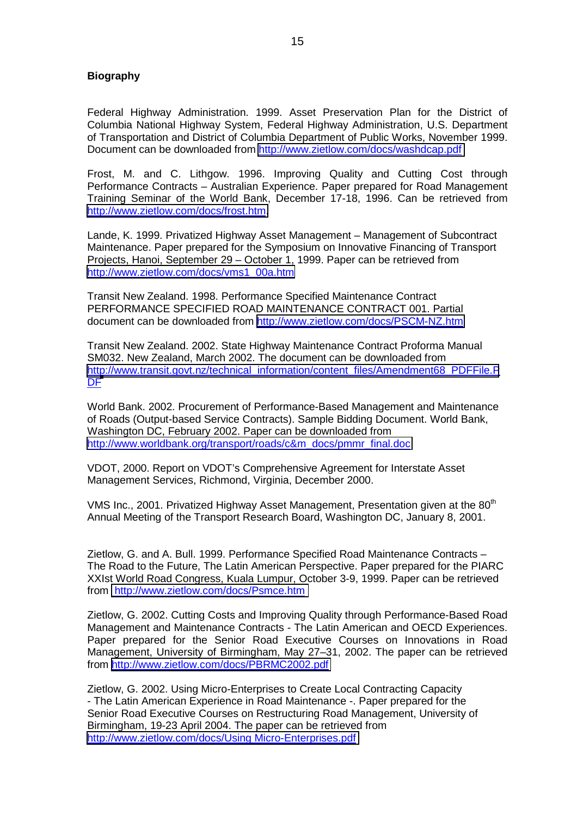## **Biography**

Federal Highway Administration. 1999. Asset Preservation Plan for the District of Columbia National Highway System, Federal Highway Administration, U.S. Department of Transportation and District of Columbia Department of Public Works, November 1999. Document can be downloaded from<http://www.zietlow.com/docs/washdcap.pdf>

Frost, M. and C. Lithgow. 1996. Improving Quality and Cutting Cost through Performance Contracts – Australian Experience. Paper prepared for Road Management Training Seminar of the World Bank, December 17-18, 1996. Can be retrieved from [http://www.zietlow.com/docs/frost.htm.](http://www.zietlow.com/docs/frost.htm)

Lande, K. 1999. Privatized Highway Asset Management – Management of Subcontract Maintenance. Paper prepared for the Symposium on Innovative Financing of Transport Projects, Hanoi, September 29 – October 1, 1999. Paper can be retrieved from [http://www.zietlow.com/docs/vms1\\_00a.htm](http://www.zietlow.com/docs/vms1_00a.htm)

Transit New Zealand. 1998. Performance Specified Maintenance Contract PERFORMANCE SPECIFIED ROAD MAINTENANCE CONTRACT 001. Partial document can be downloaded from <http://www.zietlow.com/docs/PSCM-NZ.htm>

Transit New Zealand. 2002. State Highway Maintenance Contract Proforma Manual SM032. New Zealand, March 2002. The document can be downloaded from [http://www.transit.govt.nz/technical\\_information/content\\_files/Amendment68\\_PDFFile.P](http://www.transit.govt.nz/technical_information/content_files/Amendment68_PDFFile.PDF) D[F](http://www.transit.govt.nz/technical_information/content_files/Amendment68_PDFFile.PDF)

World Bank. 2002. Procurement of Performance-Based Management and Maintenance of Roads (Output-based Service Contracts). Sample Bidding Document. World Bank, Washington DC, February 2002. Paper can be downloaded from [http://www.worldbank.org/transport/roads/c&m\\_docs/pmmr\\_final.doc](http://www.worldbank.org/transport/roads/c&m_docs/pmmr_final.doc)

VDOT, 2000. Report on VDOT's Comprehensive Agreement for Interstate Asset Management Services, Richmond, Virginia, December 2000.

VMS Inc., 2001. Privatized Highway Asset Management, Presentation given at the 80<sup>th</sup> Annual Meeting of the Transport Research Board, Washington DC, January 8, 2001.

Zietlow, G. and A. Bull. 1999. Performance Specified Road Maintenance Contracts – The Road to the Future, The Latin American Perspective. Paper prepared for the PIARC XXIst World Road Congress, Kuala Lumpur, October 3-9, 1999. Paper can be retrieved from [http://www.zietlow.com/docs/Psmce.htm](http://www.zietlow.com/docs/reformen.htm) 

Zietlow, G. 2002. Cutting Costs and Improving Quality through Performance-Based Road Management and Maintenance Contracts - The Latin American and OECD Experiences. Paper prepared for the Senior Road Executive Courses on Innovations in Road Management, University of Birmingham, May 27–31, 2002. The paper can be retrieved from <http://www.zietlow.com/docs/PBRMC2002.pdf>

Zietlow, G. 2002. Using Micro-Enterprises to Create Local Contracting Capacity - The Latin American Experience in Road Maintenance -. Paper prepared for the Senior Road Executive Courses on Restructuring Road Management, University of Birmingham, 19-23 April 2004. The paper can be retrieved from <http://www.zietlow.com/docs/Using Micro-Enterprises.pdf>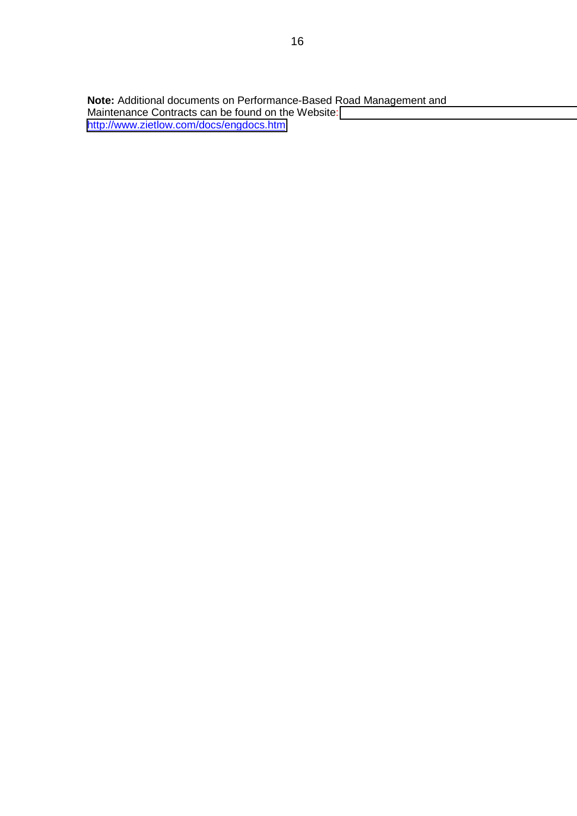**Note:** Additional documents on Performance-Based Road Management and Maintenance Contracts can be found on the Website: [http://www.zietlow.com/docs/engdocs.htm](http://www.zietlow.com/)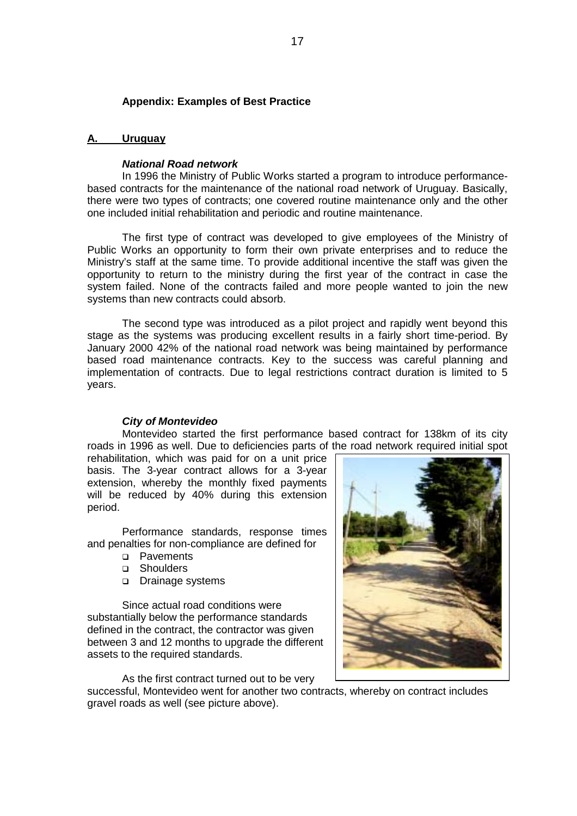#### **Appendix: Examples of Best Practice**

#### **A. Uruguay**

## *National Road network*

 In 1996 the Ministry of Public Works started a program to introduce performancebased contracts for the maintenance of the national road network of Uruguay. Basically, there were two types of contracts; one covered routine maintenance only and the other one included initial rehabilitation and periodic and routine maintenance.

The first type of contract was developed to give employees of the Ministry of Public Works an opportunity to form their own private enterprises and to reduce the Ministry's staff at the same time. To provide additional incentive the staff was given the opportunity to return to the ministry during the first year of the contract in case the system failed. None of the contracts failed and more people wanted to join the new systems than new contracts could absorb.

The second type was introduced as a pilot project and rapidly went beyond this stage as the systems was producing excellent results in a fairly short time-period. By January 2000 42% of the national road network was being maintained by performance based road maintenance contracts. Key to the success was careful planning and implementation of contracts. Due to legal restrictions contract duration is limited to 5 years.

## *City of Montevideo*

Montevideo started the first performance based contract for 138km of its city roads in 1996 as well. Due to deficiencies parts of the road network required initial spot

rehabilitation, which was paid for on a unit price basis. The 3-year contract allows for a 3-year extension, whereby the monthly fixed payments will be reduced by 40% during this extension period.

Performance standards, response times and penalties for non-compliance are defined for

- □ Pavements
- **D** Shoulders
- Drainage systems

Since actual road conditions were substantially below the performance standards defined in the contract, the contractor was given between 3 and 12 months to upgrade the different assets to the required standards.

As the first contract turned out to be very

successful, Montevideo went for another two contracts, whereby on contract includes gravel roads as well (see picture above).

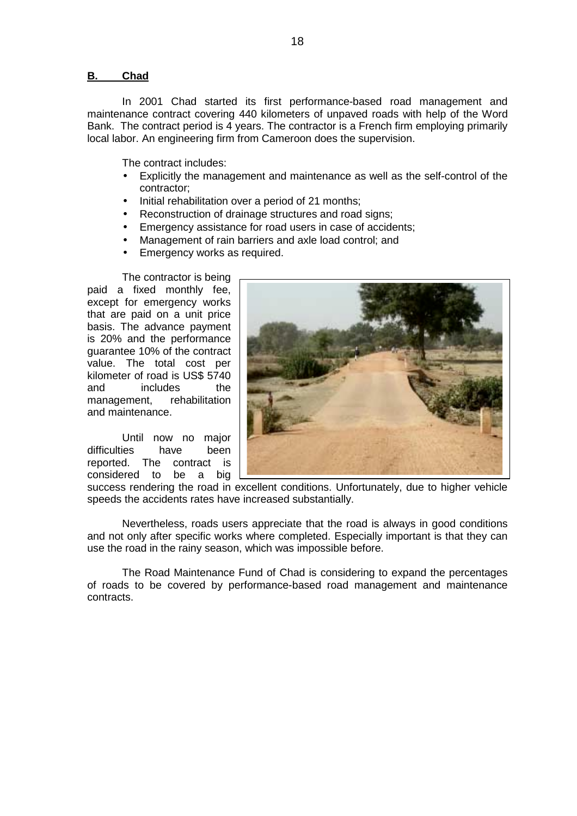#### **B. Chad**

In 2001 Chad started its first performance-based road management and maintenance contract covering 440 kilometers of unpaved roads with help of the Word Bank. The contract period is 4 years. The contractor is a French firm employing primarily local labor. An engineering firm from Cameroon does the supervision.

The contract includes:

- Explicitly the management and maintenance as well as the self-control of the contractor;
- Initial rehabilitation over a period of 21 months;
- Reconstruction of drainage structures and road signs;
- Emergency assistance for road users in case of accidents;
- Management of rain barriers and axle load control; and
- Emergency works as required.

The contractor is being paid a fixed monthly fee, except for emergency works that are paid on a unit price basis. The advance payment is 20% and the performance guarantee 10% of the contract value. The total cost per kilometer of road is US\$ 5740 and includes the management, rehabilitation and maintenance.

 Until now no major difficulties have been reported. The contract is considered to be a big



success rendering the road in excellent conditions. Unfortunately, due to higher vehicle speeds the accidents rates have increased substantially.

 Nevertheless, roads users appreciate that the road is always in good conditions and not only after specific works where completed. Especially important is that they can use the road in the rainy season, which was impossible before.

 The Road Maintenance Fund of Chad is considering to expand the percentages of roads to be covered by performance-based road management and maintenance contracts.